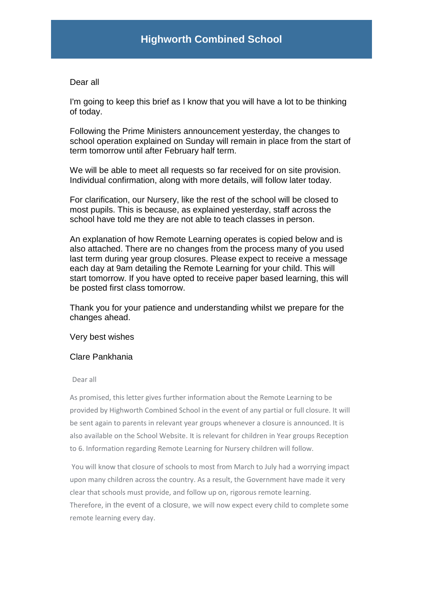## Dear all

I'm going to keep this brief as I know that you will have a lot to be thinking of today.

Following the Prime Ministers announcement yesterday, the changes to school operation explained on Sunday will remain in place from the start of term tomorrow until after February half term.

We will be able to meet all requests so far received for on site provision. Individual confirmation, along with more details, will follow later today.

For clarification, our Nursery, like the rest of the school will be closed to most pupils. This is because, as explained yesterday, staff across the school have told me they are not able to teach classes in person.

An explanation of how Remote Learning operates is copied below and is also attached. There are no changes from the process many of you used last term during year group closures. Please expect to receive a message each day at 9am detailing the Remote Learning for your child. This will start tomorrow. If you have opted to receive paper based learning, this will be posted first class tomorrow.

Thank you for your patience and understanding whilst we prepare for the changes ahead.

Very best wishes

## Clare Pankhania

Dear all

As promised, this letter gives further information about the Remote Learning to be provided by Highworth Combined School in the event of any partial or full closure. It will be sent again to parents in relevant year groups whenever a closure is announced. It is also available on the School Website. It is relevant for children in Year groups Reception to 6. Information regarding Remote Learning for Nursery children will follow.

You will know that closure of schools to most from March to July had a worrying impact upon many children across the country. As a result, the Government have made it very clear that schools must provide, and follow up on, rigorous remote learning. Therefore, in the event of a closure, we will now expect every child to complete some remote learning every day.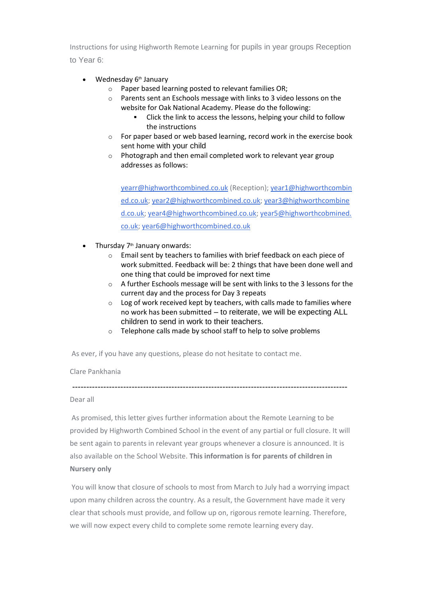Instructions for using Highworth Remote Learning for pupils in year groups Reception to Year 6:

- Wednesday 6<sup>th</sup> January
	- o Paper based learning posted to relevant families OR;
	- o Parents sent an Eschools message with links to 3 video lessons on the website for Oak National Academy. Please do the following:
		- Click the link to access the lessons, helping your child to follow the instructions
	- o For paper based or web based learning, record work in the exercise book sent home with your child
	- o Photograph and then email completed work to relevant year group addresses as follows:

[yearr@highworthcombined.co.uk](mailto:yearr@highworthcombined.co.uk) (Reception); [year1@highworthcombin](mailto:year1@highworthcombined.co.uk) [ed.co.uk;](mailto:year1@highworthcombined.co.uk) [year2@highworthcombined.co.uk;](mailto:year2@highworthcombined.co.uk) [year3@highworthcombine](mailto:year3@highworthcombined.co.uk) [d.co.uk;](mailto:year3@highworthcombined.co.uk) [year4@highworthcombined.co.uk;](mailto:year4@highworthcombined.co.uk) [year5@highworthcobmined.](mailto:year5@highworthcobmined.co.uk) [co.uk;](mailto:year5@highworthcobmined.co.uk) [year6@highworthcombined.co.uk](mailto:year6@highworthcombined.co.uk)

- Thursday 7<sup>th</sup> January onwards:
	- o Email sent by teachers to families with brief feedback on each piece of work submitted. Feedback will be: 2 things that have been done well and one thing that could be improved for next time
	- o A further Eschools message will be sent with links to the 3 lessons for the current day and the process for Day 3 repeats
	- o Log of work received kept by teachers, with calls made to families where no work has been submitted – to reiterate, we will be expecting ALL children to send in work to their teachers.
	- o Telephone calls made by school staff to help to solve problems

As ever, if you have any questions, please do not hesitate to contact me.

## Clare Pankhania

## Dear all

As promised, this letter gives further information about the Remote Learning to be provided by Highworth Combined School in the event of any partial or full closure. It will be sent again to parents in relevant year groups whenever a closure is announced. It is also available on the School Website. **This information is for parents of children in Nursery only**

-------------------------------------------------------------------------------------------------

You will know that closure of schools to most from March to July had a worrying impact upon many children across the country. As a result, the Government have made it very clear that schools must provide, and follow up on, rigorous remote learning. Therefore, we will now expect every child to complete some remote learning every day.